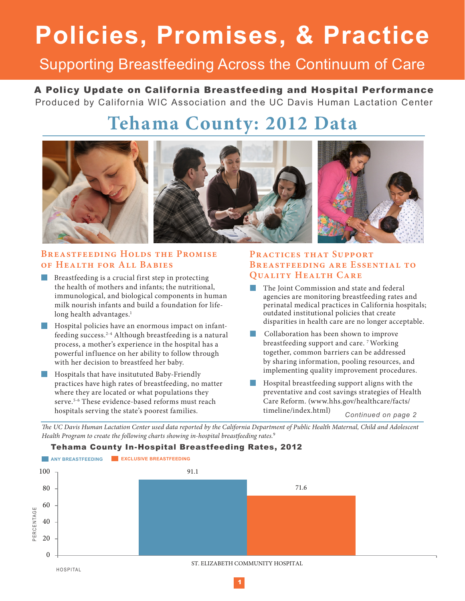# **Policies, Promises, & Practice**

### Supporting Breastfeeding Across the Continuum of Care

A Policy Update on California Breastfeeding and Hospital Performance Produced by California WIC Association and the UC Davis Human Lactation Center

## **Tehama County: 2012 Data**



#### **Breastfeeding Holds the Promise of Health for All Babies**

- Breastfeeding is a crucial first step in protecting the health of mothers and infants; the nutritional, immunological, and biological components in human milk nourish infants and build a foundation for lifelong health advantages.<sup>1</sup>
- **Hospital policies have an enormous impact on infant**feeding success.2-4 Although breastfeeding is a natural process, a mother's experience in the hospital has a powerful influence on her ability to follow through with her decision to breastfeed her baby.
- **Hospitals that have insitututed Baby-Friendly** practices have high rates of breastfeeding, no matter where they are located or what populations they serve.<sup>5-6</sup> These evidence-based reforms must reach hospitals serving the state's poorest families.

#### **Practices that Support Breastfeeding are Essential to Quality Health Care**

- The Joint Commission and state and federal agencies are monitoring breastfeeding rates and perinatal medical practices in California hospitals; outdated institutional policies that create disparities in health care are no longer acceptable.
- Collaboration has been shown to improve breastfeeding support and care. 7 Working together, common barriers can be addressed by sharing information, pooling resources, and implementing quality improvement procedures.
- Hospital breastfeeding support aligns with the preventative and cost savings strategies of Health Care Reform. (www.hhs.gov/healthcare/facts/ timeline/index.html)

*Continued on page 2*

*The UC Davis Human Lactation Center used data reported by the California Department of Public Health Maternal, Child and Adolescent Health Program to create the following charts showing in-hospital breastfeeding rates.*<sup>9</sup>

Tehama County In-Hospital Breastfeeding Rates, 2012